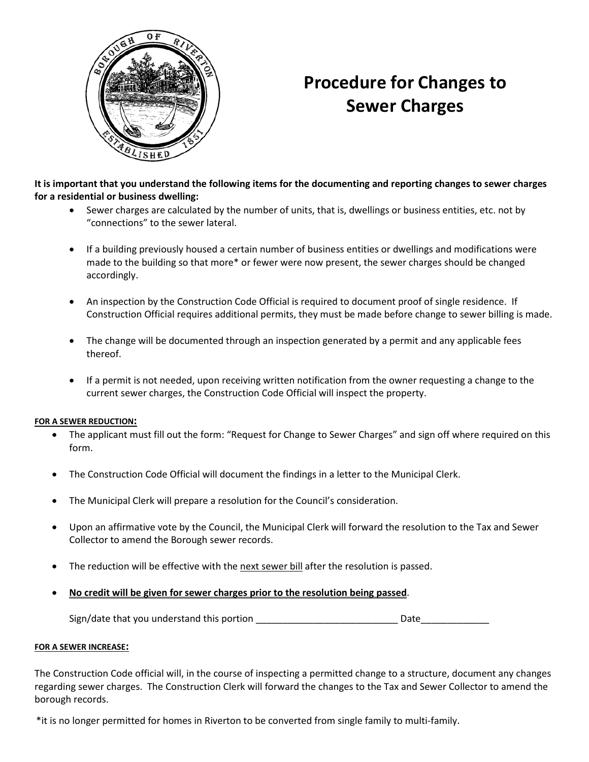

## **Procedure for Changes to Sewer Charges**

**It is important that you understand the following items for the documenting and reporting changes to sewer charges for a residential or business dwelling:**

- Sewer charges are calculated by the number of units, that is, dwellings or business entities, etc. not by "connections" to the sewer lateral.
- If a building previously housed a certain number of business entities or dwellings and modifications were made to the building so that more\* or fewer were now present, the sewer charges should be changed accordingly.
- An inspection by the Construction Code Official is required to document proof of single residence. If Construction Official requires additional permits, they must be made before change to sewer billing is made.
- The change will be documented through an inspection generated by a permit and any applicable fees thereof.
- If a permit is not needed, upon receiving written notification from the owner requesting a change to the current sewer charges, the Construction Code Official will inspect the property.

## **FOR A SEWER REDUCTION:**

- The applicant must fill out the form: "Request for Change to Sewer Charges" and sign off where required on this form.
- The Construction Code Official will document the findings in a letter to the Municipal Clerk.
- The Municipal Clerk will prepare a resolution for the Council's consideration.
- Upon an affirmative vote by the Council, the Municipal Clerk will forward the resolution to the Tax and Sewer Collector to amend the Borough sewer records.
- The reduction will be effective with the next sewer bill after the resolution is passed.
- **No credit will be given for sewer charges prior to the resolution being passed**.

Sign/date that you understand this portion \_\_\_\_\_\_\_\_\_\_\_\_\_\_\_\_\_\_\_\_\_\_\_\_\_\_\_ Date\_\_\_\_\_\_\_\_\_\_\_\_\_

## **FOR A SEWER INCREASE:**

The Construction Code official will, in the course of inspecting a permitted change to a structure, document any changes regarding sewer charges. The Construction Clerk will forward the changes to the Tax and Sewer Collector to amend the borough records.

\*it is no longer permitted for homes in Riverton to be converted from single family to multi-family.